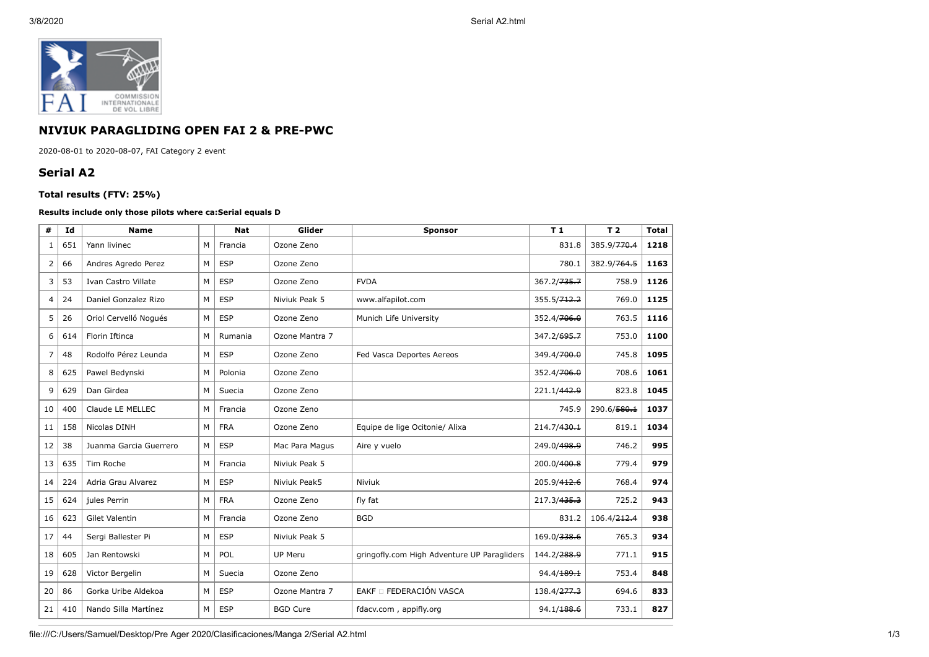

## **NIVIUK PARAGLIDING OPEN FAI 2 & PRE-PWC**

2020-08-01 to 2020-08-07, FAI Category 2 event

## **Serial A2**

## **Total results (FTV: 25%)**

## **Results include only those pilots where ca:Serial equals D**

| #  | Id  | <b>Name</b>            |   | <b>Nat</b> | Glider          | T1<br><b>Sponsor</b>                        |                         | T <sub>2</sub>          | <b>Total</b> |
|----|-----|------------------------|---|------------|-----------------|---------------------------------------------|-------------------------|-------------------------|--------------|
| 1  | 651 | Yann livinec           | М | Francia    | Ozone Zeno      | 831.8                                       |                         | 385.9/ <del>770.4</del> | 1218         |
| 2  | 66  | Andres Agredo Perez    | M | <b>ESP</b> | Ozone Zeno      |                                             | 780.1                   | 382.9/764.5             | 1163         |
| 3  | 53  | Ivan Castro Villate    | м | <b>ESP</b> | Ozone Zeno      | <b>FVDA</b>                                 | 367.2/ <del>735.7</del> | 758.9                   | 1126         |
| 4  | 24  | Daniel Gonzalez Rizo   | M | <b>ESP</b> | Niviuk Peak 5   | www.alfapilot.com                           | 355.5/712.2             | 769.0                   | 1125         |
| 5  | 26  | Oriol Cervelló Nogués  | M | <b>ESP</b> | Ozone Zeno      | Munich Life University                      | 352.4/706.0             | 763.5                   | 1116         |
| 6  | 614 | Florin Iftinca         | М | Rumania    | Ozone Mantra 7  |                                             | 347.2/695.7             | 753.0                   | 1100         |
| 7  | 48  | Rodolfo Pérez Leunda   | M | <b>ESP</b> | Ozone Zeno      | Fed Vasca Deportes Aereos                   | 349.4/700.0             | 745.8                   | 1095         |
| 8  | 625 | Pawel Bedynski         | M | Polonia    | Ozone Zeno      |                                             | 352.4/706.0             | 708.6                   | 1061         |
| 9  | 629 | Dan Girdea             | M | Suecia     | Ozone Zeno      |                                             | 221.1/442.9             | 823.8                   | 1045         |
| 10 | 400 | Claude LE MELLEC       | M | Francia    | Ozone Zeno      |                                             | 745.9                   | 290.6/580.1             | 1037         |
| 11 | 158 | Nicolas DINH           | М | <b>FRA</b> | Ozone Zeno      | Equipe de lige Ocitonie/ Alixa              | 214.7/430.1             | 819.1                   | 1034         |
| 12 | 38  | Juanma Garcia Guerrero | M | <b>ESP</b> | Mac Para Magus  | Aire y vuelo                                | 249.0/498.9             | 746.2                   | 995          |
| 13 | 635 | Tim Roche              | М | Francia    | Niviuk Peak 5   |                                             | 200.0/400.8             | 779.4                   | 979          |
| 14 | 224 | Adria Grau Alvarez     | M | <b>ESP</b> | Niviuk Peak5    | Niviuk                                      | 205.9/412.6             | 768.4                   | 974          |
| 15 | 624 | jules Perrin           | M | <b>FRA</b> | Ozone Zeno      | fly fat                                     | 217.3/435.3             | 725.2                   | 943          |
| 16 | 623 | Gilet Valentin         | M | Francia    | Ozone Zeno      | <b>BGD</b>                                  | 831.2                   | 106.4/ <del>212.4</del> | 938          |
| 17 | 44  | Sergi Ballester Pi     | M | <b>ESP</b> | Niviuk Peak 5   |                                             | 169.0/338.6             | 765.3                   | 934          |
| 18 | 605 | Jan Rentowski          | M | POL        | <b>UP Meru</b>  | gringofly.com High Adventure UP Paragliders | 144.2/ <del>288.9</del> | 771.1                   | 915          |
| 19 | 628 | Victor Bergelin        | M | Suecia     | Ozone Zeno      |                                             | 94.4/ <del>189.1</del>  | 753.4                   | 848          |
| 20 | 86  | Gorka Uribe Aldekoa    | M | <b>ESP</b> | Ozone Mantra 7  | EAKF O FEDERACIÓN VASCA                     | 138.4/ <del>277.3</del> | 694.6                   | 833          |
| 21 | 410 | Nando Silla Martínez   | м | <b>ESP</b> | <b>BGD Cure</b> | fdacv.com, appifly.org                      | 94.1/ <del>188.6</del>  | 733.1                   | 827          |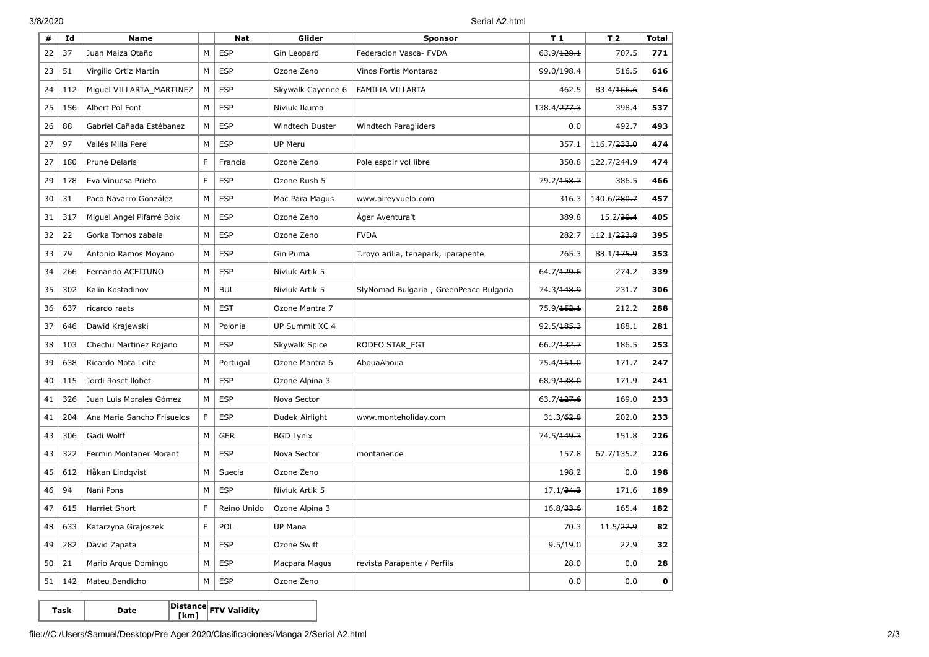3/8/2020 Serial A2.html

| #  | Id  | <b>Name</b>                |             | <b>Nat</b>  | Glider            | <b>Sponsor</b>                         | T 1                     | T <sub>2</sub>          | <b>Total</b> |
|----|-----|----------------------------|-------------|-------------|-------------------|----------------------------------------|-------------------------|-------------------------|--------------|
| 22 | 37  | Juan Maiza Otaño           | M           | <b>ESP</b>  | Gin Leopard       | 63.9/128.1<br>Federacion Vasca- FVDA   |                         | 707.5                   | 771          |
| 23 | 51  | Virgilio Ortiz Martín      | M           | <b>ESP</b>  | Ozone Zeno        | Vinos Fortis Montaraz                  | 99.0/198.4              | 516.5                   | 616          |
| 24 | 112 | Miguel VILLARTA_MARTINEZ   | M           | <b>ESP</b>  | Skywalk Cayenne 6 | <b>FAMILIA VILLARTA</b>                | 462.5                   | 83.4/166.6              | 546          |
| 25 | 156 | Albert Pol Font            | M           | <b>ESP</b>  | Niviuk Ikuma      |                                        | 138.4/ <del>277.3</del> | 398.4                   | 537          |
| 26 | 88  | Gabriel Cañada Estébanez   | M           | <b>ESP</b>  | Windtech Duster   | Windtech Paragliders                   | 0.0                     | 492.7                   | 493          |
| 27 | 97  | Vallés Milla Pere          | M           | <b>ESP</b>  | <b>UP Meru</b>    |                                        | 357.1                   | 116.7/ <del>233.0</del> | 474          |
| 27 | 180 | Prune Delaris              | F           | Francia     | Ozone Zeno        | Pole espoir vol libre                  | 350.8                   | 122.7/ <del>244.9</del> | 474          |
| 29 | 178 | Eva Vinuesa Prieto         | F           | <b>ESP</b>  | Ozone Rush 5      |                                        | 79.2/ <del>158.7</del>  | 386.5                   | 466          |
| 30 | 31  | Paco Navarro González      | M           | <b>ESP</b>  | Mac Para Magus    | www.aireyvuelo.com                     | 316.3                   | 140.6/ <del>280.7</del> | 457          |
| 31 | 317 | Miguel Angel Pifarré Boix  | M           | <b>ESP</b>  | Ozone Zeno        | Ager Aventura't                        | 389.8                   | 15.2/30.4               | 405          |
| 32 | 22  | Gorka Tornos zabala        | M           | <b>ESP</b>  | Ozone Zeno        | <b>FVDA</b>                            | 282.7                   | 112.1/ <del>223.8</del> | 395          |
| 33 | 79  | Antonio Ramos Moyano       | M           | <b>ESP</b>  | Gin Puma          | T.royo arilla, tenapark, iparapente    | 265.3                   | 88.1/175.9              | 353          |
| 34 | 266 | Fernando ACEITUNO          | М           | <b>ESP</b>  | Niviuk Artik 5    |                                        | 64.7/129.6              | 274.2                   | 339          |
| 35 | 302 | Kalin Kostadinov           | M           | <b>BUL</b>  | Niviuk Artik 5    | SlyNomad Bulgaria, GreenPeace Bulgaria | 74.3/148.9              | 231.7                   | 306          |
| 36 | 637 | ricardo raats              | M           | <b>EST</b>  | Ozone Mantra 7    |                                        | 75.9/ <del>152.1</del>  | 212.2                   | 288          |
| 37 | 646 | Dawid Krajewski            | M           | Polonia     | UP Summit XC 4    |                                        | 92.5/185.3              | 188.1                   | 281          |
| 38 | 103 | Chechu Martinez Rojano     | M           | <b>ESP</b>  | Skywalk Spice     | RODEO STAR_FGT                         | 66.2/132.7              | 186.5                   | 253          |
| 39 | 638 | Ricardo Mota Leite         | M           | Portugal    | Ozone Mantra 6    | AbouaAboua                             | 75.4/151.0              | 171.7                   | 247          |
| 40 | 115 | Jordi Roset Ilobet         | M           | <b>ESP</b>  | Ozone Alpina 3    |                                        | 68.9/138.0              | 171.9                   | 241          |
| 41 | 326 | Juan Luis Morales Gómez    | M           | <b>ESP</b>  | Nova Sector       |                                        | 63.7/127.6              | 169.0                   | 233          |
| 41 | 204 | Ana Maria Sancho Frisuelos | $\mathsf F$ | <b>ESP</b>  | Dudek Airlight    | www.monteholiday.com                   | 31.3/62.8               | 202.0                   | 233          |
| 43 | 306 | Gadi Wolff                 | M           | <b>GER</b>  | <b>BGD Lynix</b>  |                                        | 74.5/149.3              | 151.8                   | 226          |
| 43 | 322 | Fermin Montaner Morant     | M           | <b>ESP</b>  | Nova Sector       | montaner.de                            | 157.8                   | 67.7/135.2              | 226          |
| 45 | 612 | Håkan Lindqvist            | M           | Suecia      | Ozone Zeno        |                                        | 198.2                   | 0.0                     | 198          |
| 46 | 94  | Nani Pons                  | M           | <b>ESP</b>  | Niviuk Artik 5    |                                        | 17.1/34.3               | 171.6                   | 189          |
| 47 | 615 | <b>Harriet Short</b>       | F           | Reino Unido | Ozone Alpina 3    |                                        | 16.8/33.6               | 165.4                   | 182          |
| 48 | 633 | Katarzyna Grajoszek        | F           | POL         | UP Mana           |                                        | 70.3                    | 11.5/22.9               | 82           |
| 49 | 282 | David Zapata               | M           | <b>ESP</b>  | Ozone Swift       |                                        | 9.5/19.0                | 22.9                    | 32           |
| 50 | 21  | Mario Arque Domingo        | M           | <b>ESP</b>  | Macpara Magus     | revista Parapente / Perfils            | 28.0                    | 0.0                     | 28           |
| 51 | 142 | Mateu Bendicho             | M           | <b>ESP</b>  | Ozone Zeno        |                                        | 0.0                     | 0.0                     | $\mathbf 0$  |

**Task Date Distance [km] FTV Validity**